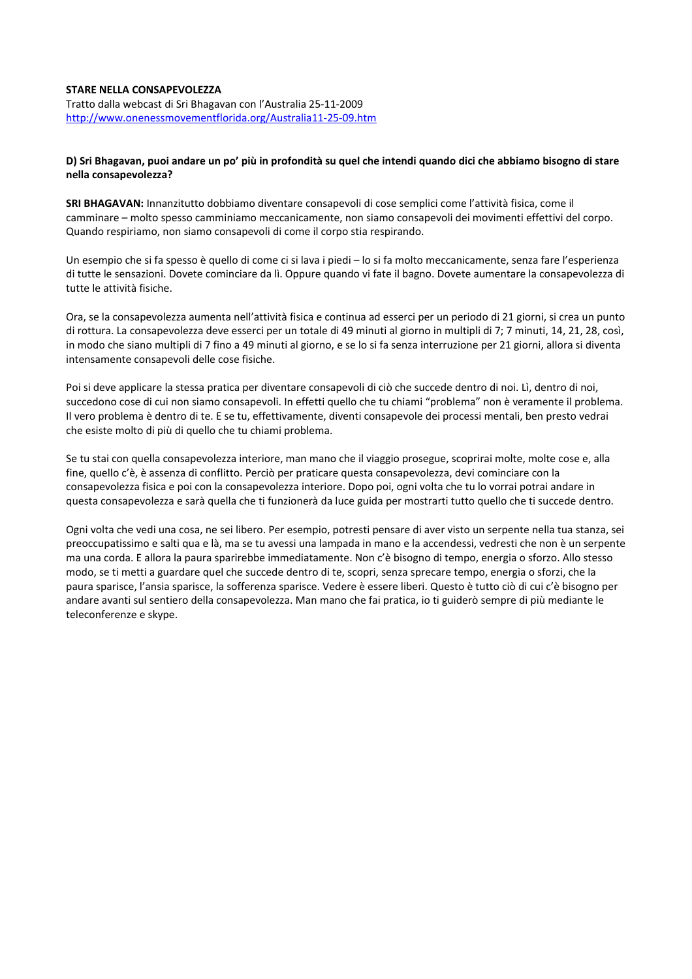## **STARE NELLA CONSAPEVOLEZZA**

Tratto dalla webcast di Sri Bhagavan con l'Australia 25-11-2009 <http://www.onenessmovementflorida.org/Australia11-25-09.htm>

## **D) Sri Bhagavan, puoi andare un po' più in profondità su quel che intendi quando dici che abbiamo bisogno di stare nella consapevolezza?**

**SRI BHAGAVAN:** Innanzitutto dobbiamo diventare consapevoli di cose semplici come l'attività fisica, come il camminare – molto spesso camminiamo meccanicamente, non siamo consapevoli dei movimenti effettivi del corpo. Quando respiriamo, non siamo consapevoli di come il corpo stia respirando.

Un esempio che si fa spesso è quello di come ci si lava i piedi – lo si fa molto meccanicamente, senza fare l'esperienza di tutte le sensazioni. Dovete cominciare da lì. Oppure quando vi fate il bagno. Dovete aumentare la consapevolezza di tutte le attività fisiche.

Ora, se la consapevolezza aumenta nell'attività fisica e continua ad esserci per un periodo di 21 giorni, si crea un punto di rottura. La consapevolezza deve esserci per un totale di 49 minuti al giorno in multipli di 7; 7 minuti, 14, 21, 28, così, in modo che siano multipli di 7 fino a 49 minuti al giorno, e se lo si fa senza interruzione per 21 giorni, allora si diventa intensamente consapevoli delle cose fisiche.

Poi si deve applicare la stessa pratica per diventare consapevoli di ciò che succede dentro di noi. Lì, dentro di noi, succedono cose di cui non siamo consapevoli. In effetti quello che tu chiami "problema" non è veramente il problema. Il vero problema è dentro di te. E se tu, effettivamente, diventi consapevole dei processi mentali, ben presto vedrai che esiste molto di più di quello che tu chiami problema.

Se tu stai con quella consapevolezza interiore, man mano che il viaggio prosegue, scoprirai molte, molte cose e, alla fine, quello c'è, è assenza di conflitto. Perciò per praticare questa consapevolezza, devi cominciare con la consapevolezza fisica e poi con la consapevolezza interiore. Dopo poi, ogni volta che tu lo vorrai potrai andare in questa consapevolezza e sarà quella che ti funzionerà da luce guida per mostrarti tutto quello che ti succede dentro.

Ogni volta che vedi una cosa, ne sei libero. Per esempio, potresti pensare di aver visto un serpente nella tua stanza, sei preoccupatissimo e salti qua e là, ma se tu avessi una lampada in mano e la accendessi, vedresti che non è un serpente ma una corda. E allora la paura sparirebbe immediatamente. Non c'è bisogno di tempo, energia o sforzo. Allo stesso modo, se ti metti a guardare quel che succede dentro di te, scopri, senza sprecare tempo, energia o sforzi, che la paura sparisce, l'ansia sparisce, la sofferenza sparisce. Vedere è essere liberi. Questo è tutto ciò di cui c'è bisogno per andare avanti sul sentiero della consapevolezza. Man mano che fai pratica, io ti guiderò sempre di più mediante le teleconferenze e skype.